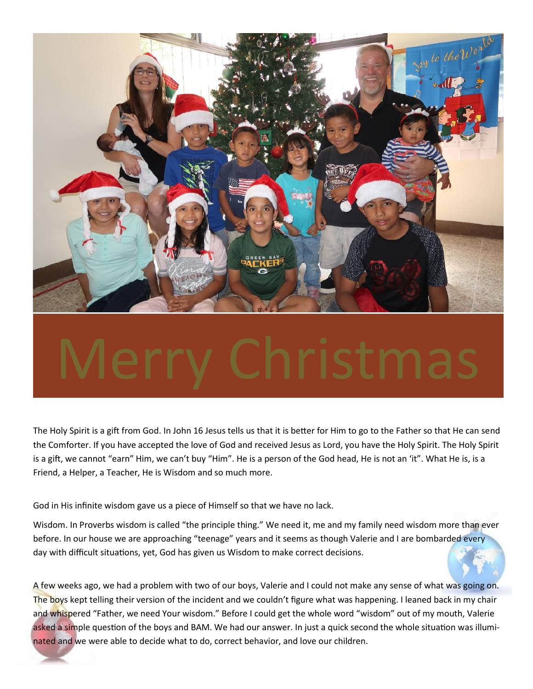

The Holy Spirit is a gift from God. In John 16 Jesus tells us that it is better for Him to go to the Father so that He can send the Comforter. If you have accepted the love of God and received Jesus as Lord, you have the Holy Spirit. The Holy Spirit is a gift, we cannot "earn" Him, we can't buy "Him". He is a person of the God head, He is not an 'it". What He is, is a Friend, a Helper, a Teacher, He is Wisdom and so much more.

God in His infinite wisdom gave us a piece of Himself so that we have no lack.

Wisdom. In Proverbs wisdom is called "the principle thing." We need it, me and my family need wisdom more than ever before. In our house we are approaching "teenage" years and it seems as though Valerie and I are bombarded every day with difficult situations, yet, God has given us Wisdom to make correct decisions.

A few weeks ago, we had a problem with two of our boys, Valerie and I could not make any sense of what was going on. The boys kept telling their version of the incident and we couldn't figure what was happening. I leaned back in my chair and whispered "Father, we need Your wisdom." Before I could get the whole word "wisdom" out of my mouth, Valerie asked a simple question of the boys and BAM. We had our answer. In just a quick second the whole situation was illuminated and we were able to decide what to do, correct behavior, and love our children.